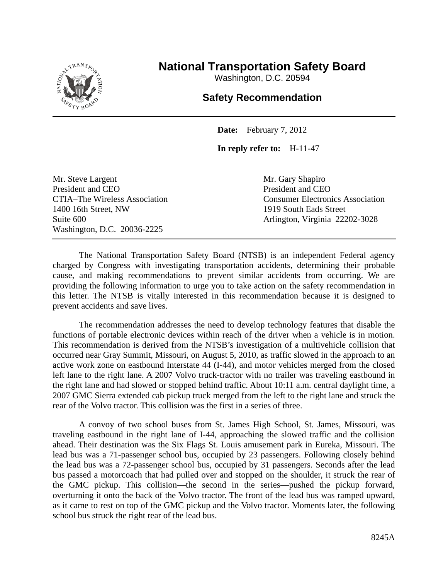

## **National Transportation Safety Board**

Washington, D.C. 20594

## **Safety Recommendation**

**Date:** February 7, 2012

**In reply refer to:** H-11-47

Mr. Steve Largent Mr. Gary Shapiro President and CEO President and CEO 1400 16th Street, NW 1919 South Eads Street Washington, D.C. 20036-2225

CTIA–The Wireless Association Consumer Electronics Association Suite 600 Arlington, Virginia 22202-3028

The National Transportation Safety Board (NTSB) is an independent Federal agency charged by Congress with investigating transportation accidents, determining their probable cause, and making recommendations to prevent similar accidents from occurring. We are providing the following information to urge you to take action on the safety recommendation in this letter. The NTSB is vitally interested in this recommendation because it is designed to prevent accidents and save lives.

The recommendation addresses the need to develop technology features that disable the functions of portable electronic devices within reach of the driver when a vehicle is in motion. This recommendation is derived from the NTSB's investigation of a multivehicle collision that occurred near Gray Summit, Missouri, on August 5, 2010, as traffic slowed in the approach to an active work zone on eastbound Interstate 44 (I-44), and motor vehicles merged from the closed left lane to the right lane. A 2007 Volvo truck-tractor with no trailer was traveling eastbound in the right lane and had slowed or stopped behind traffic. About 10:11 a.m. central daylight time, a 2007 GMC Sierra extended cab pickup truck merged from the left to the right lane and struck the rear of the Volvo tractor. This collision was the first in a series of three.

A convoy of two school buses from St. James High School, St. James, Missouri, was traveling eastbound in the right lane of I-44, approaching the slowed traffic and the collision ahead. Their destination was the Six Flags St. Louis amusement park in Eureka, Missouri. The lead bus was a 71-passenger school bus, occupied by 23 passengers. Following closely behind the lead bus was a 72-passenger school bus, occupied by 31 passengers. Seconds after the lead bus passed a motorcoach that had pulled over and stopped on the shoulder, it struck the rear of the GMC pickup. This collision—the second in the series—pushed the pickup forward, overturning it onto the back of the Volvo tractor. The front of the lead bus was ramped upward, as it came to rest on top of the GMC pickup and the Volvo tractor. Moments later, the following school bus struck the right rear of the lead bus.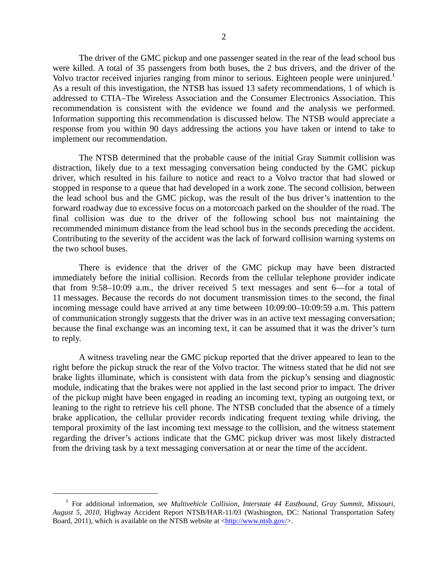The driver of the GMC pickup and one passenger seated in the rear of the lead school bus were killed. A total of 35 passengers from both buses, the 2 bus drivers, and the driver of the Volvo tractor received injuries ranging from minor to serious. Eighteen people were uninjured.<sup>1</sup> As a result of this investigation, the NTSB has issued 13 safety recommendations, 1 of which is addressed to CTIA–The Wireless Association and the Consumer Electronics Association. This recommendation is consistent with the evidence we found and the analysis we performed. Information supporting this recommendation is discussed below. The NTSB would appreciate a response from you within 90 days addressing the actions you have taken or intend to take to implement our recommendation.

The NTSB determined that the probable cause of the initial Gray Summit collision was distraction, likely due to a text messaging conversation being conducted by the GMC pickup driver, which resulted in his failure to notice and react to a Volvo tractor that had slowed or stopped in response to a queue that had developed in a work zone. The second collision, between the lead school bus and the GMC pickup, was the result of the bus driver's inattention to the forward roadway due to excessive focus on a motorcoach parked on the shoulder of the road. The final collision was due to the driver of the following school bus not maintaining the recommended minimum distance from the lead school bus in the seconds preceding the accident. Contributing to the severity of the accident was the lack of forward collision warning systems on the two school buses.

There is evidence that the driver of the GMC pickup may have been distracted immediately before the initial collision. Records from the cellular telephone provider indicate that from 9:58–10:09 a.m., the driver received 5 text messages and sent 6—for a total of 11 messages. Because the records do not document transmission times to the second, the final incoming message could have arrived at any time between 10:09:00–10:09:59 a.m. This pattern of communication strongly suggests that the driver was in an active text messaging conversation; because the final exchange was an incoming text, it can be assumed that it was the driver's turn to reply.

A witness traveling near the GMC pickup reported that the driver appeared to lean to the right before the pickup struck the rear of the Volvo tractor. The witness stated that he did not see brake lights illuminate, which is consistent with data from the pickup's sensing and diagnostic module, indicating that the brakes were not applied in the last second prior to impact. The driver of the pickup might have been engaged in reading an incoming text, typing an outgoing text, or leaning to the right to retrieve his cell phone. The NTSB concluded that the absence of a timely brake application, the cellular provider records indicating frequent texting while driving, the temporal proximity of the last incoming text message to the collision, and the witness statement regarding the driver's actions indicate that the GMC pickup driver was most likely distracted from the driving task by a text messaging conversation at or near the time of the accident.

 <sup>1</sup> For additional information, see *Multivehicle Collision, Interstate 44 Eastbound, Gray Summit, Missouri, August 5, 2010*, Highway Accident Report NTSB/HAR-11/03 (Washington, DC: National Transportation Safety Board, 2011), which is available on the NTSB website at <http://www.ntsb.gov/>.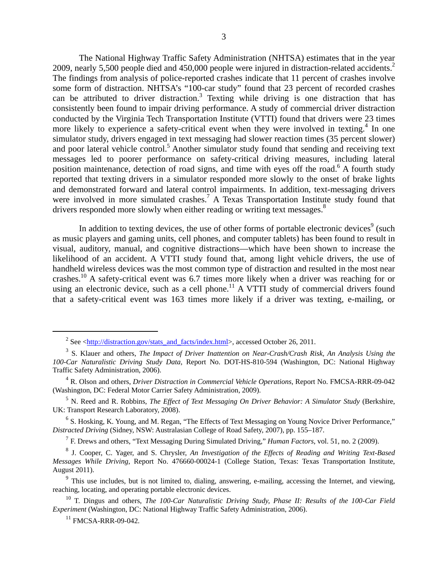The National Highway Traffic Safety Administration (NHTSA) estimates that in the year 2009, nearly 5,500 people died and 450,000 people were injured in distraction-related accidents.<sup>2</sup> The findings from analysis of police-reported crashes indicate that 11 percent of crashes involve some form of distraction. NHTSA's "100-car study" found that 23 percent of recorded crashes can be attributed to driver distraction.<sup>3</sup> Texting while driving is one distraction that has consistently been found to impair driving performance. A study of commercial driver distraction conducted by the Virginia Tech Transportation Institute (VTTI) found that drivers were 23 times more likely to experience a safety-critical event when they were involved in texting.<sup>4</sup> In one simulator study, drivers engaged in text messaging had slower reaction times (35 percent slower) and poor lateral vehicle control.<sup>5</sup> Another simulator study found that sending and receiving text messages led to poorer performance on safety-critical driving measures, including lateral position maintenance, detection of road signs, and time with eyes off the road.<sup>6</sup> A fourth study reported that texting drivers in a simulator responded more slowly to the onset of brake lights and demonstrated forward and lateral control impairments. In addition, text-messaging drivers were involved in more simulated crashes.<sup>7</sup> A Texas Transportation Institute study found that drivers responded more slowly when either reading or writing text messages.<sup>8</sup>

In addition to texting devices, the use of other forms of portable electronic devices<sup>9</sup> (such as music players and gaming units, cell phones, and computer tablets) has been found to result in visual, auditory, manual, and cognitive distractions—which have been shown to increase the likelihood of an accident. A VTTI study found that, among light vehicle drivers, the use of handheld wireless devices was the most common type of distraction and resulted in the most near crashes.10 A safety-critical event was 6.7 times more likely when a driver was reaching for or using an electronic device, such as a cell phone.<sup>11</sup> A VTTI study of commercial drivers found that a safety-critical event was 163 times more likely if a driver was texting, e-mailing, or

<sup>7</sup> F. Drews and others, "Text Messaging During Simulated Driving," *Human Factors*, vol. 51, no. 2 (2009).

<sup>&</sup>lt;sup>2</sup> See <http://distraction.gov/stats\_and\_facts/index.html>, accessed October 26, 2011.

<sup>3</sup> S. Klauer and others, *The Impact of Driver Inattention on Near-Crash/Crash Risk, An Analysis Using the 100-Car Naturalistic Driving Study Data*, Report No. DOT-HS-810-594 (Washington, DC: National Highway Traffic Safety Administration, 2006).

<sup>4</sup> R. Olson and others, *Driver Distraction in Commercial Vehicle Operations*, Report No. FMCSA-RRR-09-042 (Washington, DC: Federal Motor Carrier Safety Administration, 2009).

<sup>5</sup> N. Reed and R. Robbins, *The Effect of Text Messaging On Driver Behavior: A Simulator Study* (Berkshire, UK: Transport Research Laboratory, 2008).

<sup>&</sup>lt;sup>6</sup> S. Hosking, K. Young, and M. Regan, "The Effects of Text Messaging on Young Novice Driver Performance," *Distracted Driving* (Sidney, NSW: Australasian College of Road Safety, 2007), pp. 155–187.

<sup>8</sup> J. Cooper, C. Yager, and S. Chrysler, *An Investigation of the Effects of Reading and Writing Text-Based Messages While Driving*, Report No. 476660-00024-1 (College Station, Texas: Texas Transportation Institute, August 2011).

<sup>&</sup>lt;sup>9</sup> This use includes, but is not limited to, dialing, answering, e-mailing, accessing the Internet, and viewing, reaching, locating, and operating portable electronic devices.

<sup>10</sup> T. Dingus and others, *The 100-Car Naturalistic Driving Study, Phase II: Results of the 100-Car Field Experiment* (Washington, DC: National Highway Traffic Safety Administration, 2006).

<sup>&</sup>lt;sup>11</sup> FMCSA-RRR-09-042.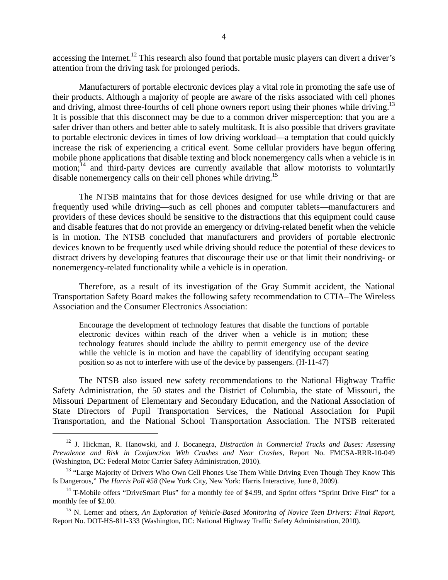accessing the Internet.<sup>12</sup> This research also found that portable music players can divert a driver's attention from the driving task for prolonged periods.

Manufacturers of portable electronic devices play a vital role in promoting the safe use of their products. Although a majority of people are aware of the risks associated with cell phones and driving, almost three-fourths of cell phone owners report using their phones while driving.<sup>13</sup> It is possible that this disconnect may be due to a common driver misperception: that you are a safer driver than others and better able to safely multitask. It is also possible that drivers gravitate to portable electronic devices in times of low driving workload—a temptation that could quickly increase the risk of experiencing a critical event. Some cellular providers have begun offering mobile phone applications that disable texting and block nonemergency calls when a vehicle is in motion;<sup>14</sup> and third-party devices are currently available that allow motorists to voluntarily disable nonemergency calls on their cell phones while driving.<sup>15</sup>

The NTSB maintains that for those devices designed for use while driving or that are frequently used while driving—such as cell phones and computer tablets—manufacturers and providers of these devices should be sensitive to the distractions that this equipment could cause and disable features that do not provide an emergency or driving-related benefit when the vehicle is in motion. The NTSB concluded that manufacturers and providers of portable electronic devices known to be frequently used while driving should reduce the potential of these devices to distract drivers by developing features that discourage their use or that limit their nondriving- or nonemergency-related functionality while a vehicle is in operation.

Therefore, as a result of its investigation of the Gray Summit accident, the National Transportation Safety Board makes the following safety recommendation to CTIA–The Wireless Association and the Consumer Electronics Association:

Encourage the development of technology features that disable the functions of portable electronic devices within reach of the driver when a vehicle is in motion; these technology features should include the ability to permit emergency use of the device while the vehicle is in motion and have the capability of identifying occupant seating position so as not to interfere with use of the device by passengers. (H-11-47)

The NTSB also issued new safety recommendations to the National Highway Traffic Safety Administration, the 50 states and the District of Columbia, the state of Missouri, the Missouri Department of Elementary and Secondary Education, and the National Association of State Directors of Pupil Transportation Services, the National Association for Pupil Transportation, and the National School Transportation Association. The NTSB reiterated

 <sup>12</sup> J. Hickman, R. Hanowski, and J. Bocanegra, *Distraction in Commercial Trucks and Buses: Assessing Prevalence and Risk in Conjunction With Crashes and Near Crashes*, Report No. FMCSA-RRR-10-049 (Washington, DC: Federal Motor Carrier Safety Administration, 2010).

<sup>&</sup>lt;sup>13</sup> "Large Majority of Drivers Who Own Cell Phones Use Them While Driving Even Though They Know This Is Dangerous," *The Harris Poll #58* (New York City, New York: Harris Interactive, June 8, 2009).

<sup>&</sup>lt;sup>14</sup> T-Mobile offers "DriveSmart Plus" for a monthly fee of \$4.99, and Sprint offers "Sprint Drive First" for a monthly fee of \$2.00.

<sup>15</sup> N. Lerner and others, *An Exploration of Vehicle-Based Monitoring of Novice Teen Drivers: Final Report*, Report No. DOT-HS-811-333 (Washington, DC: National Highway Traffic Safety Administration, 2010).